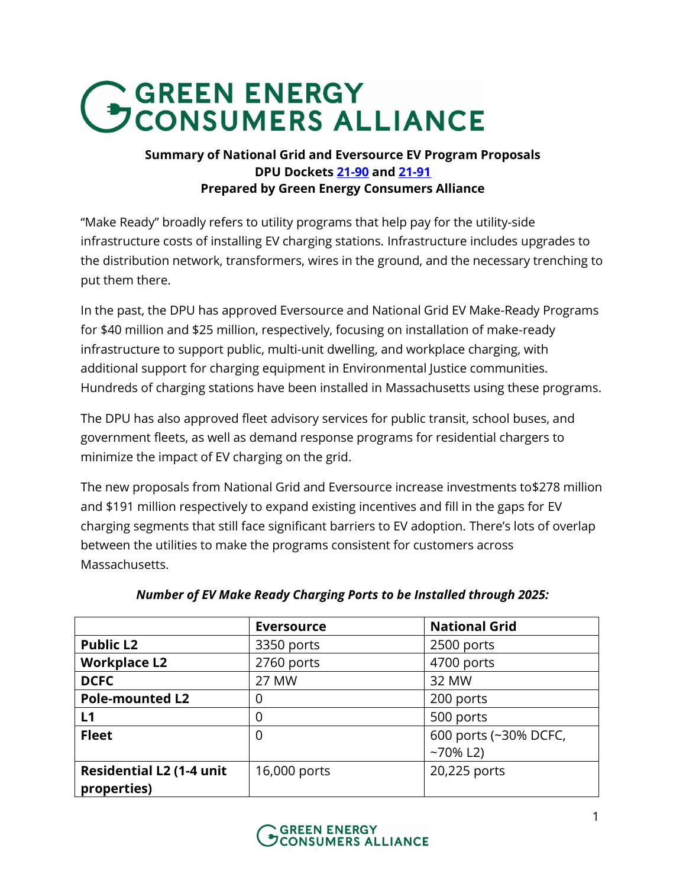# GEREEN ENERGY<br>CONSUMERS ALLIANCE

## **Summary of National Grid and Eversource EV Program Proposals DPU Dockets [21-90](https://fileservice.eea.comacloud.net/FileService.Api/file/FileRoom/13758159) and [21-91](https://fileservice.eea.comacloud.net/FileService.Api/file/FileRoom/13758106) Prepared by Green Energy Consumers Alliance**

"Make Ready" broadly refers to utility programs that help pay for the utility-side infrastructure costs of installing EV charging stations. Infrastructure includes upgrades to the distribution network, transformers, wires in the ground, and the necessary trenching to put them there.

In the past, the DPU has approved Eversource and National Grid EV Make-Ready Programs for \$40 million and \$25 million, respectively, focusing on installation of make-ready infrastructure to support public, multi-unit dwelling, and workplace charging, with additional support for charging equipment in Environmental Justice communities. Hundreds of charging stations have been installed in Massachusetts using these programs.

The DPU has also approved fleet advisory services for public transit, school buses, and government fleets, as well as demand response programs for residential chargers to minimize the impact of EV charging on the grid.

The new proposals from National Grid and Eversource increase investments to\$278 million and \$191 million respectively to expand existing incentives and fill in the gaps for EV charging segments that still face significant barriers to EV adoption. There's lots of overlap between the utilities to make the programs consistent for customers across Massachusetts.

|                                                | <b>Eversource</b> | <b>National Grid</b>                 |
|------------------------------------------------|-------------------|--------------------------------------|
| <b>Public L2</b>                               | 3350 ports        | 2500 ports                           |
| <b>Workplace L2</b>                            | 2760 ports        | 4700 ports                           |
| <b>DCFC</b>                                    | 27 MW             | 32 MW                                |
| <b>Pole-mounted L2</b>                         | 0                 | 200 ports                            |
| L1                                             | 0                 | 500 ports                            |
| <b>Fleet</b>                                   | 0                 | 600 ports (~30% DCFC,<br>$-70\%$ L2) |
| <b>Residential L2 (1-4 unit</b><br>properties) | 16,000 ports      | 20,225 ports                         |

# *Number of EV Make Ready Charging Ports to be Installed through 2025:*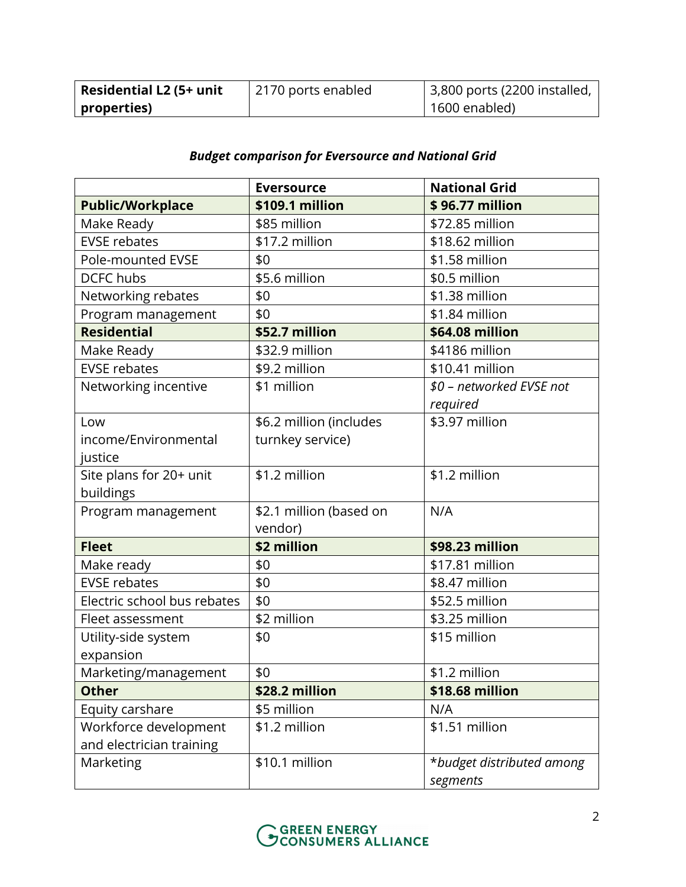| <b>Residential L2 (5+ unit</b>       | 2170 ports enabled | $\frac{1}{2}$ ,800 ports (2200 installed, |
|--------------------------------------|--------------------|-------------------------------------------|
| $\overline{\phantom{a}}$ properties) |                    | 1600 enabled)                             |

# *Budget comparison for Eversource and National Grid*

|                             | <b>Eversource</b>       | <b>National Grid</b>      |
|-----------------------------|-------------------------|---------------------------|
| <b>Public/Workplace</b>     | \$109.1 million         | \$96.77 million           |
| Make Ready                  | \$85 million            | \$72.85 million           |
| <b>EVSE rebates</b>         | \$17.2 million          | \$18.62 million           |
| <b>Pole-mounted EVSE</b>    | \$0                     | \$1.58 million            |
| <b>DCFC</b> hubs            | \$5.6 million           | \$0.5 million             |
| Networking rebates          | \$0                     | \$1.38 million            |
| Program management          | \$0                     | \$1.84 million            |
| <b>Residential</b>          | \$52.7 million          | \$64.08 million           |
| Make Ready                  | \$32.9 million          | \$4186 million            |
| <b>EVSE rebates</b>         | \$9.2 million           | \$10.41 million           |
| Networking incentive        | \$1 million             | \$0 - networked EVSE not  |
|                             |                         | required                  |
| Low                         | \$6.2 million (includes | \$3.97 million            |
| income/Environmental        | turnkey service)        |                           |
| justice                     |                         |                           |
| Site plans for 20+ unit     | \$1.2 million           | \$1.2 million             |
| buildings                   |                         |                           |
| Program management          | \$2.1 million (based on | N/A                       |
|                             | vendor)                 |                           |
| <b>Fleet</b>                | \$2 million             | \$98.23 million           |
| Make ready                  | \$0                     | \$17.81 million           |
| <b>EVSE rebates</b>         | \$0                     | \$8.47 million            |
| Electric school bus rebates | \$0                     | \$52.5 million            |
| Fleet assessment            | \$2 million             | \$3.25 million            |
| Utility-side system         | \$0                     | \$15 million              |
| expansion                   |                         |                           |
| Marketing/management        | \$0                     | \$1.2 million             |
| <b>Other</b>                | \$28.2 million          | \$18.68 million           |
| Equity carshare             | \$5 million             | N/A                       |
| Workforce development       | \$1.2 million           | \$1.51 million            |
| and electrician training    |                         |                           |
| Marketing                   | \$10.1 million          | *budget distributed among |
|                             |                         | segments                  |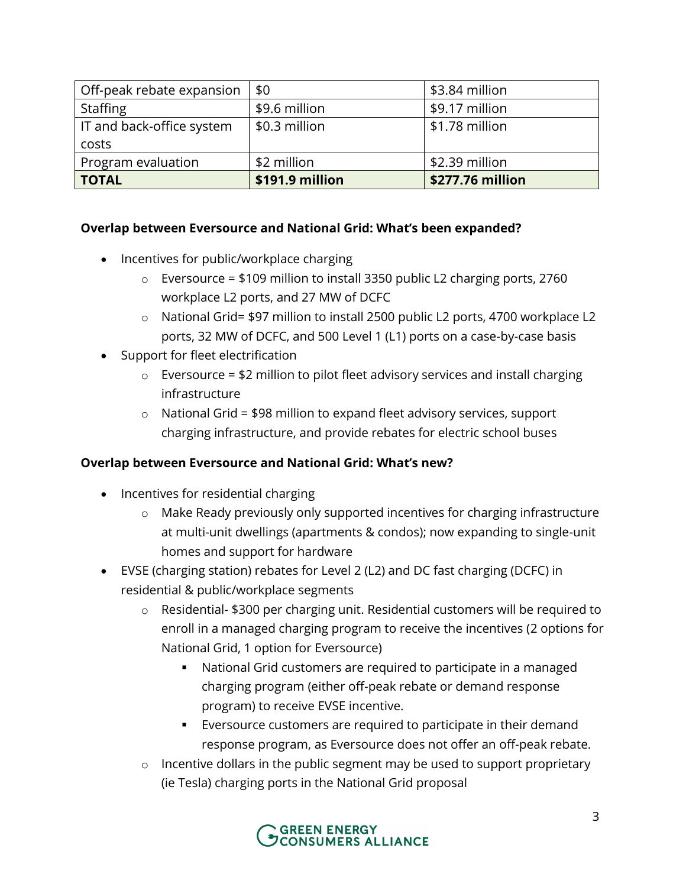| Off-peak rebate expansion | \$0             | \$3.84 million   |
|---------------------------|-----------------|------------------|
| <b>Staffing</b>           | \$9.6 million   | \$9.17 million   |
| IT and back-office system | \$0.3 million   | \$1.78 million   |
| costs                     |                 |                  |
| Program evaluation        | \$2 million     | \$2.39 million   |
| <b>TOTAL</b>              | \$191.9 million | \$277.76 million |

#### **Overlap between Eversource and National Grid: What's been expanded?**

- Incentives for public/workplace charging
	- o Eversource = \$109 million to install 3350 public L2 charging ports, 2760 workplace L2 ports, and 27 MW of DCFC
	- o National Grid= \$97 million to install 2500 public L2 ports, 4700 workplace L2 ports, 32 MW of DCFC, and 500 Level 1 (L1) ports on a case-by-case basis
- Support for fleet electrification
	- $\circ$  Eversource = \$2 million to pilot fleet advisory services and install charging infrastructure
	- $\circ$  National Grid = \$98 million to expand fleet advisory services, support charging infrastructure, and provide rebates for electric school buses

### **Overlap between Eversource and National Grid: What's new?**

- Incentives for residential charging
	- o Make Ready previously only supported incentives for charging infrastructure at multi-unit dwellings (apartments & condos); now expanding to single-unit homes and support for hardware
- EVSE (charging station) rebates for Level 2 (L2) and DC fast charging (DCFC) in residential & public/workplace segments
	- o Residential- \$300 per charging unit. Residential customers will be required to enroll in a managed charging program to receive the incentives (2 options for National Grid, 1 option for Eversource)
		- National Grid customers are required to participate in a managed charging program (either off-peak rebate or demand response program) to receive EVSE incentive.
		- Eversource customers are required to participate in their demand response program, as Eversource does not offer an off-peak rebate.
	- $\circ$  Incentive dollars in the public segment may be used to support proprietary (ie Tesla) charging ports in the National Grid proposal

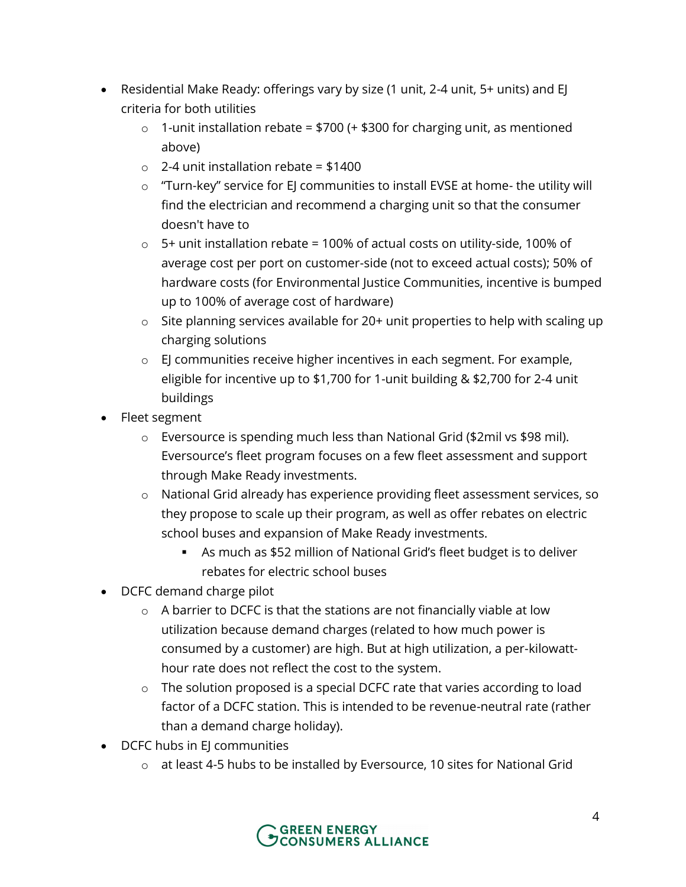- Residential Make Ready: offerings vary by size (1 unit, 2-4 unit, 5+ units) and EJ criteria for both utilities
	- $\circ$  1-unit installation rebate = \$700 (+ \$300 for charging unit, as mentioned above)
	- $\circ$  2-4 unit installation rebate = \$1400
	- o "Turn-key" service for EJ communities to install EVSE at home- the utility will find the electrician and recommend a charging unit so that the consumer doesn't have to
	- $\circ$  5+ unit installation rebate = 100% of actual costs on utility-side, 100% of average cost per port on customer-side (not to exceed actual costs); 50% of hardware costs (for Environmental Justice Communities, incentive is bumped up to 100% of average cost of hardware)
	- o Site planning services available for 20+ unit properties to help with scaling up charging solutions
	- o EJ communities receive higher incentives in each segment. For example, eligible for incentive up to \$1,700 for 1-unit building & \$2,700 for 2-4 unit buildings
- Fleet segment
	- o Eversource is spending much less than National Grid (\$2mil vs \$98 mil). Eversource's fleet program focuses on a few fleet assessment and support through Make Ready investments.
	- o National Grid already has experience providing fleet assessment services, so they propose to scale up their program, as well as offer rebates on electric school buses and expansion of Make Ready investments.
		- As much as \$52 million of National Grid's fleet budget is to deliver rebates for electric school buses
- DCFC demand charge pilot
	- o A barrier to DCFC is that the stations are not financially viable at low utilization because demand charges (related to how much power is consumed by a customer) are high. But at high utilization, a per-kilowatthour rate does not reflect the cost to the system.
	- o The solution proposed is a special DCFC rate that varies according to load factor of a DCFC station. This is intended to be revenue-neutral rate (rather than a demand charge holiday).
- DCFC hubs in EJ communities
	- $\circ$  at least 4-5 hubs to be installed by Eversource, 10 sites for National Grid

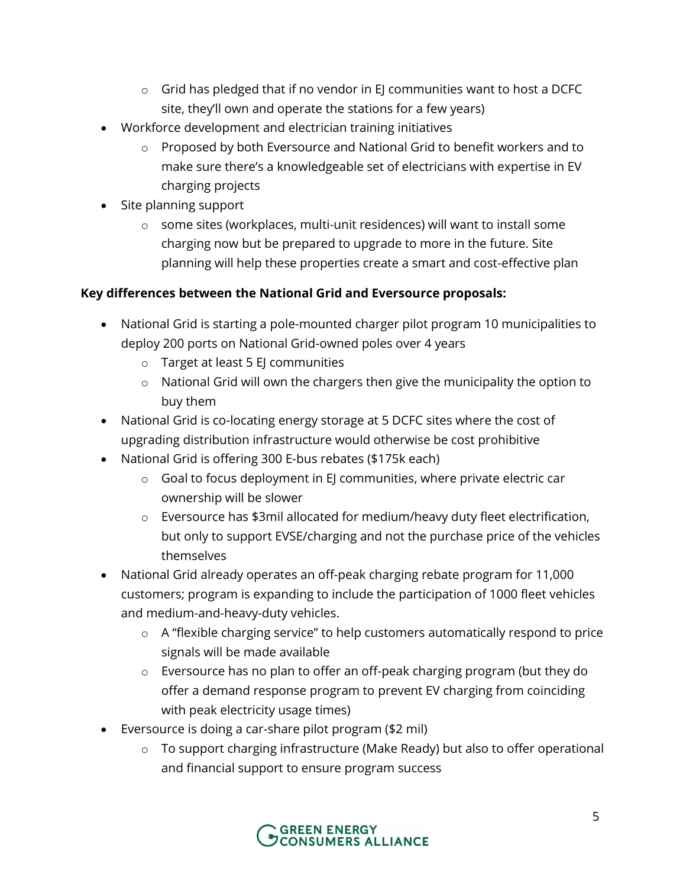- $\circ$  Grid has pledged that if no vendor in EJ communities want to host a DCFC site, they'll own and operate the stations for a few years)
- Workforce development and electrician training initiatives
	- o Proposed by both Eversource and National Grid to benefit workers and to make sure there's a knowledgeable set of electricians with expertise in EV charging projects
- Site planning support
	- $\circ$  some sites (workplaces, multi-unit residences) will want to install some charging now but be prepared to upgrade to more in the future. Site planning will help these properties create a smart and cost-effective plan

## **Key differences between the National Grid and Eversource proposals:**

- National Grid is starting a pole-mounted charger pilot program 10 municipalities to deploy 200 ports on National Grid-owned poles over 4 years
	- o Target at least 5 EJ communities
	- o National Grid will own the chargers then give the municipality the option to buy them
- National Grid is co-locating energy storage at 5 DCFC sites where the cost of upgrading distribution infrastructure would otherwise be cost prohibitive
- National Grid is offering 300 E-bus rebates (\$175k each)
	- o Goal to focus deployment in EJ communities, where private electric car ownership will be slower
	- o Eversource has \$3mil allocated for medium/heavy duty fleet electrification, but only to support EVSE/charging and not the purchase price of the vehicles themselves
- National Grid already operates an off-peak charging rebate program for 11,000 customers; program is expanding to include the participation of 1000 fleet vehicles and medium-and-heavy-duty vehicles.
	- o A "flexible charging service" to help customers automatically respond to price signals will be made available
	- o Eversource has no plan to offer an off-peak charging program (but they do offer a demand response program to prevent EV charging from coinciding with peak electricity usage times)
- Eversource is doing a car-share pilot program (\$2 mil)
	- o To support charging infrastructure (Make Ready) but also to offer operational and financial support to ensure program success